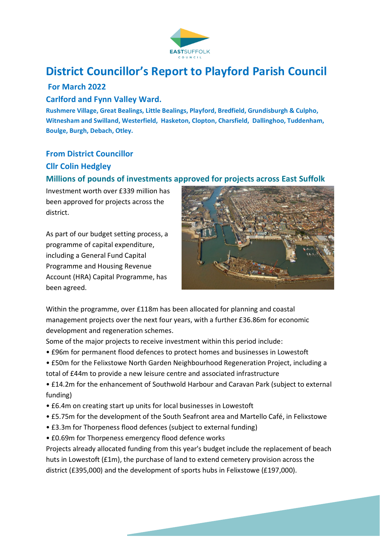

# **District Councillor's Report to Playford Parish Council**

# **For March 2022**

#### **Carlford and Fynn Valley Ward.**

**Rushmere Village, Great Bealings, Little Bealings, Playford, Bredfield, Grundisburgh & Culpho, Witnesham and Swilland, Westerfield, Hasketon, Clopton, Charsfield, Dallinghoo, Tuddenham, Boulge, Burgh, Debach, Otley.** 

#### **From District Councillor**

#### **Cllr Colin Hedgley**

# **Millions of pounds of investments approved for projects across East Suffolk**

Investment worth over £339 million has been approved for projects across the district.

As part of our budget setting process, a programme of capital expenditure, including a General Fund Capital Programme and Housing Revenue Account (HRA) Capital Programme, has been agreed.



Within the programme, over £118m has been allocated for planning and coastal management projects over the next four years, with a further £36.86m for economic development and regeneration schemes.

Some of the major projects to receive investment within this period include:

- £96m for permanent flood defences to protect homes and businesses in Lowestoft
- £50m for the Felixstowe North Garden Neighbourhood Regeneration Project, including a total of £44m to provide a new leisure centre and associated infrastructure
- £14.2m for the enhancement of Southwold Harbour and Caravan Park (subject to external funding)
- £6.4m on creating start up units for local businesses in Lowestoft
- £5.75m for the development of the South Seafront area and Martello Café, in Felixstowe
- £3.3m for Thorpeness flood defences (subject to external funding)
- £0.69m for Thorpeness emergency flood defence works

Projects already allocated funding from this year's budget include the replacement of beach huts in Lowestoft (£1m), the purchase of land to extend cemetery provision across the district (£395,000) and the development of sports hubs in Felixstowe (£197,000).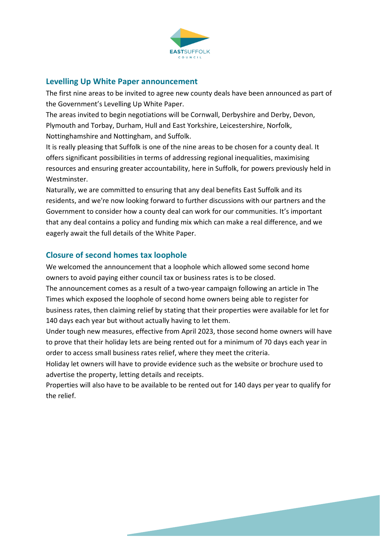

#### **Levelling Up White Paper announcement**

The first nine areas to be invited to agree new county deals have been announced as part of the Government's Levelling Up White Paper.

The areas invited to begin negotiations will be Cornwall, Derbyshire and Derby, Devon, Plymouth and Torbay, Durham, Hull and East Yorkshire, Leicestershire, Norfolk, Nottinghamshire and Nottingham, and Suffolk.

It is really pleasing that Suffolk is one of the nine areas to be chosen for a county deal. It offers significant possibilities in terms of addressing regional inequalities, maximising resources and ensuring greater accountability, here in Suffolk, for powers previously held in **Westminster** 

Naturally, we are committed to ensuring that any deal benefits East Suffolk and its residents, and we're now looking forward to further discussions with our partners and the Government to consider how a county deal can work for our communities. It's important that any deal contains a policy and funding mix which can make a real difference, and we eagerly await the full details of the White Paper.

# **Closure of second homes tax loophole**

We welcomed the announcement that a loophole which allowed some second home owners to avoid paying either council tax or business rates is to be closed.

The announcement comes as a result of a two-year campaign following an article in The Times which exposed the loophole of second home owners being able to register for business rates, then claiming relief by stating that their properties were available for let for 140 days each year but without actually having to let them.

Under tough new measures, effective from April 2023, those second home owners will have to prove that their holiday lets are being rented out for a minimum of 70 days each year in order to access small business rates relief, where they meet the criteria.

Holiday let owners will have to provide evidence such as the website or brochure used to advertise the property, letting details and receipts.

Properties will also have to be available to be rented out for 140 days per year to qualify for the relief.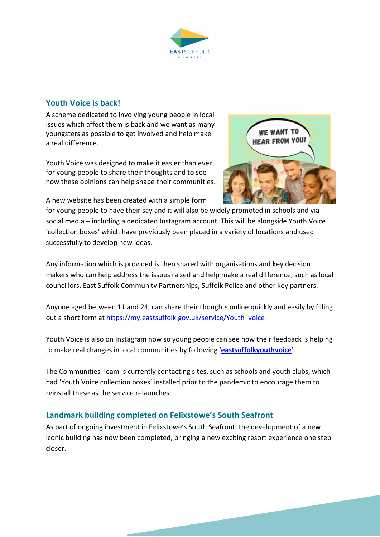

#### **Youth Voice is back!**

A scheme dedicated to involving young people in local issues which affect them is back and we want as many youngsters as possible to get involved and help make a real difference.

Youth Voice was designed to make it easier than ever for young people to share their thoughts and to see how these opinions can help shape their communities.

A new website has been created with a simple form



for young people to have their say and it will also be widely promoted in schools and via social media – including a dedicated Instagram account. This will be alongside Youth Voice 'collection boxes' which have previously been placed in a variety of locations and used successfully to develop new ideas.

Any information which is provided is then shared with organisations and key decision makers who can help address the issues raised and help make a real difference, such as local councillors, East Suffolk Community Partnerships, Suffolk Police and other key partners.

Anyone aged between 11 and 24, can share their thoughts online quickly and easily by filling out a short form at https://my.eastsuffolk.gov.uk/service/Youth\_voice

Youth Voice is also on Instagram now so young people can see how their feedback is helping to make real changes in local communities by following '**eastsuffolkyouthvoice**'.

The Communities Team is currently contacting sites, such as schools and youth clubs, which had 'Youth Voice collection boxes' installed prior to the pandemic to encourage them to reinstall these as the service relaunches.

# **Landmark building completed on Felixstowe's South Seafront**

As part of ongoing investment in Felixstowe's South Seafront, the development of a new iconic building has now been completed, bringing a new exciting resort experience one step closer.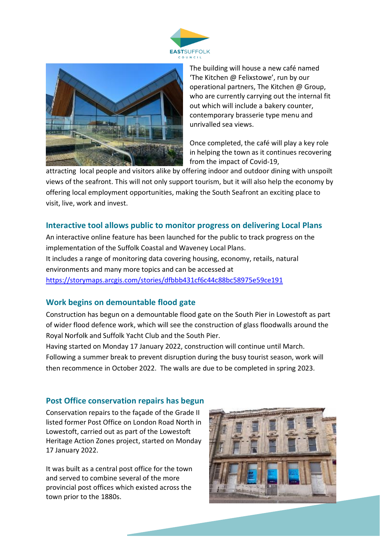



The building will house a new café named 'The Kitchen @ Felixstowe', run by our operational partners, The Kitchen @ Group, who are currently carrying out the internal fit out which will include a bakery counter, contemporary brasserie type menu and unrivalled sea views.

Once completed, the café will play a key role in helping the town as it continues recovering from the impact of Covid-19,

attracting local people and visitors alike by offering indoor and outdoor dining with unspoilt views of the seafront. This will not only support tourism, but it will also help the economy by offering local employment opportunities, making the South Seafront an exciting place to visit, live, work and invest.

#### **Interactive tool allows public to monitor progress on delivering Local Plans**

An interactive online feature has been launched for the public to track progress on the implementation of the Suffolk Coastal and Waveney Local Plans. It includes a range of monitoring data covering housing, economy, retails, natural environments and many more topics and can be accessed at https://storymaps.arcgis.com/stories/dfbbb431cf6c44c88bc58975e59ce191

#### **Work begins on demountable flood gate**

Construction has begun on a demountable flood gate on the South Pier in Lowestoft as part of wider flood defence work, which will see the construction of glass floodwalls around the Royal Norfolk and Suffolk Yacht Club and the South Pier.

Having started on Monday 17 January 2022, construction will continue until March. Following a summer break to prevent disruption during the busy tourist season, work will then recommence in October 2022. The walls are due to be completed in spring 2023.

# **Post Office conservation repairs has begun**

Conservation repairs to the façade of the Grade II listed former Post Office on London Road North in Lowestoft, carried out as part of the Lowestoft Heritage Action Zones project, started on Monday 17 January 2022.

It was built as a central post office for the town and served to combine several of the more provincial post offices which existed across the town prior to the 1880s.

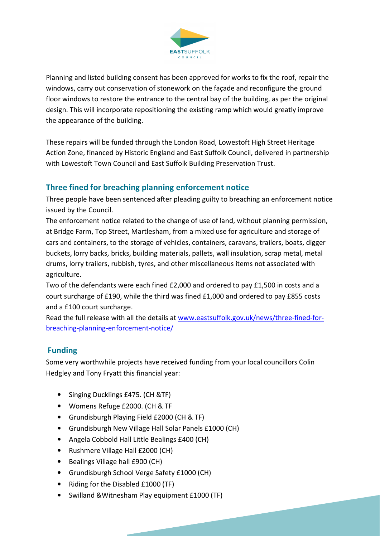

Planning and listed building consent has been approved for works to fix the roof, repair the windows, carry out conservation of stonework on the façade and reconfigure the ground floor windows to restore the entrance to the central bay of the building, as per the original design. This will incorporate repositioning the existing ramp which would greatly improve the appearance of the building.

These repairs will be funded through the London Road, Lowestoft High Street Heritage Action Zone, financed by Historic England and East Suffolk Council, delivered in partnership with Lowestoft Town Council and East Suffolk Building Preservation Trust.

# **Three fined for breaching planning enforcement notice**

Three people have been sentenced after pleading guilty to breaching an enforcement notice issued by the Council.

The enforcement notice related to the change of use of land, without planning permission, at Bridge Farm, Top Street, Martlesham, from a mixed use for agriculture and storage of cars and containers, to the storage of vehicles, containers, caravans, trailers, boats, digger buckets, lorry backs, bricks, building materials, pallets, wall insulation, scrap metal, metal drums, lorry trailers, rubbish, tyres, and other miscellaneous items not associated with agriculture.

Two of the defendants were each fined £2,000 and ordered to pay £1,500 in costs and a court surcharge of £190, while the third was fined £1,000 and ordered to pay £855 costs and a £100 court surcharge.

Read the full release with all the details at www.eastsuffolk.gov.uk/news/three-fined-forbreaching-planning-enforcement-notice/

# **Funding**

Some very worthwhile projects have received funding from your local councillors Colin Hedgley and Tony Fryatt this financial year:

- Singing Ducklings £475. (CH &TF)
- Womens Refuge £2000. (CH & TF
- Grundisburgh Playing Field £2000 (CH & TF)
- Grundisburgh New Village Hall Solar Panels £1000 (CH)
- Angela Cobbold Hall Little Bealings £400 (CH)
- Rushmere Village Hall £2000 (CH)
- Bealings Village hall £900 (CH)
- Grundisburgh School Verge Safety £1000 (CH)
- Riding for the Disabled £1000 (TF)
- Swilland &Witnesham Play equipment £1000 (TF)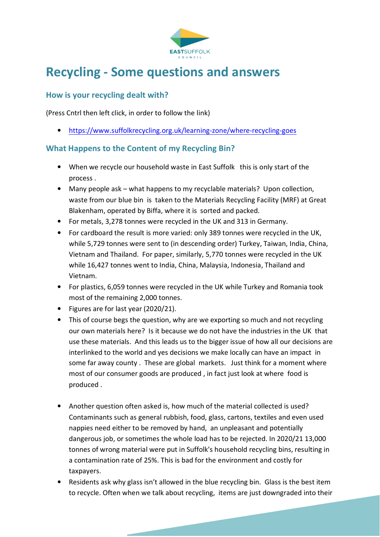

# **Recycling - Some questions and answers**

# **How is your recycling dealt with?**

(Press Cntrl then left click, in order to follow the link)

• https://www.suffolkrecycling.org.uk/learning-zone/where-recycling-goes

# **What Happens to the Content of my Recycling Bin?**

- When we recycle our household waste in East Suffolk this is only start of the process .
- Many people ask what happens to my recyclable materials? Upon collection, waste from our blue bin is taken to the Materials Recycling Facility (MRF) at Great Blakenham, operated by Biffa, where it is sorted and packed.
- For metals, 3,278 tonnes were recycled in the UK and 313 in Germany.
- For cardboard the result is more varied: only 389 tonnes were recycled in the UK, while 5,729 tonnes were sent to (in descending order) Turkey, Taiwan, India, China, Vietnam and Thailand. For paper, similarly, 5,770 tonnes were recycled in the UK while 16,427 tonnes went to India, China, Malaysia, Indonesia, Thailand and Vietnam.
- For plastics, 6,059 tonnes were recycled in the UK while Turkey and Romania took most of the remaining 2,000 tonnes.
- Figures are for last year (2020/21).
- This of course begs the question, why are we exporting so much and not recycling our own materials here? Is it because we do not have the industries in the UK that use these materials. And this leads us to the bigger issue of how all our decisions are interlinked to the world and yes decisions we make locally can have an impact in some far away county . These are global markets. Just think for a moment where most of our consumer goods are produced , in fact just look at where food is produced .
- Another question often asked is, how much of the material collected is used? Contaminants such as general rubbish, food, glass, cartons, textiles and even used nappies need either to be removed by hand, an unpleasant and potentially dangerous job, or sometimes the whole load has to be rejected. In 2020/21 13,000 tonnes of wrong material were put in Suffolk's household recycling bins, resulting in a contamination rate of 25%. This is bad for the environment and costly for taxpayers.
- Residents ask why glass isn't allowed in the blue recycling bin. Glass is the best item to recycle. Often when we talk about recycling, items are just downgraded into their